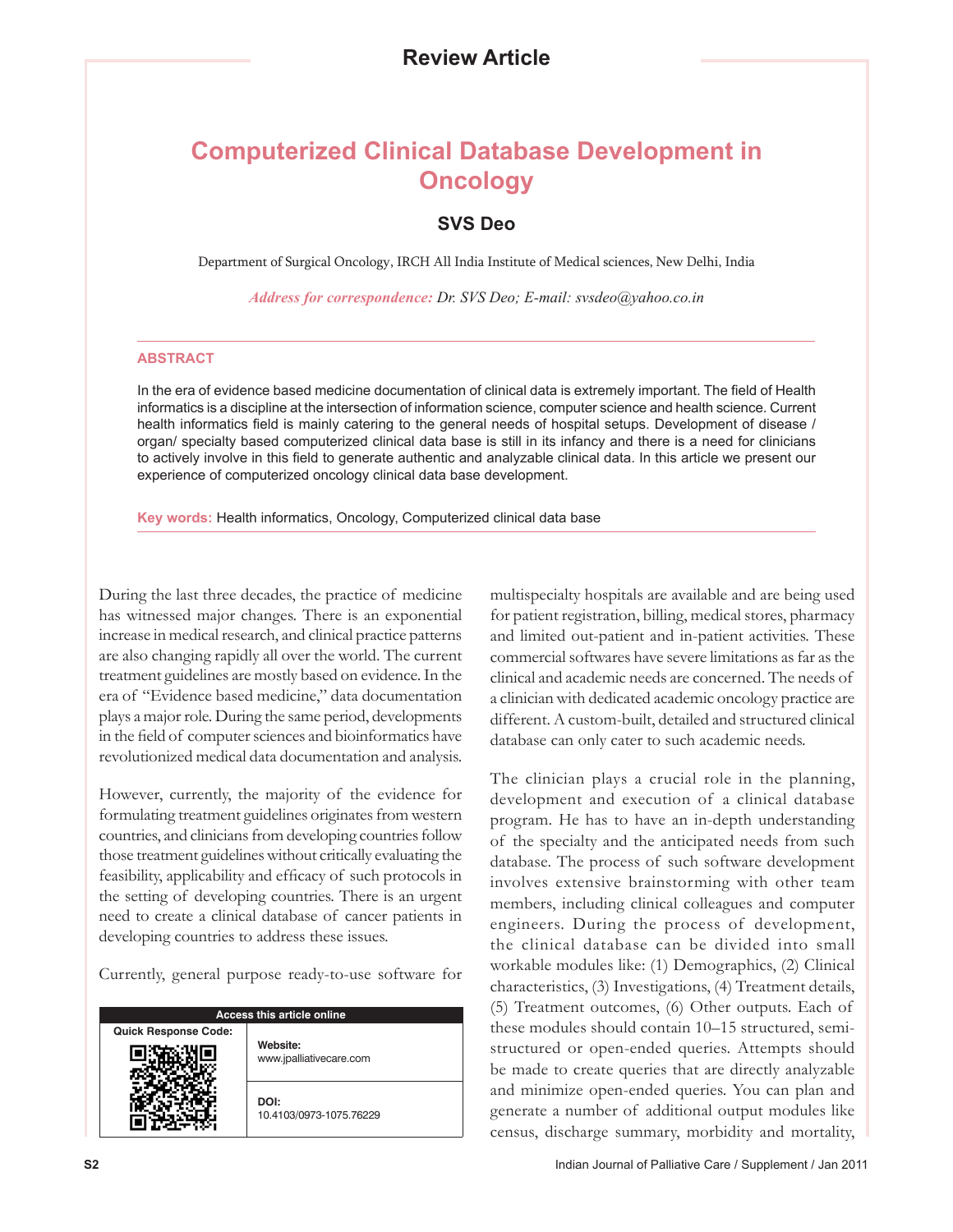## **Computerized Clinical Database Development in Oncology**

## **SVS Deo**

Department of Surgical Oncology, IRCH All India Institute of Medical sciences, New Delhi, India

*Address for correspondence: Dr. SVS Deo; E-mail: svsdeo@yahoo.co.in*

## **ABSTRACT**

In the era of evidence based medicine documentation of clinical data is extremely important. The field of Health informatics is a discipline at the intersection of information science, computer science and health science. Current health informatics field is mainly catering to the general needs of hospital setups. Development of disease / organ/ specialty based computerized clinical data base is still in its infancy and there is a need for clinicians to actively involve in this field to generate authentic and analyzable clinical data. In this article we present our experience of computerized oncology clinical data base development.

**Key words:** Health informatics, Oncology, Computerized clinical data base

During the last three decades, the practice of medicine has witnessed major changes. There is an exponential increase in medical research, and clinical practice patterns are also changing rapidly all over the world. The current treatment guidelines are mostly based on evidence. In the era of "Evidence based medicine," data documentation plays a major role. During the same period, developments in the field of computer sciences and bioinformatics have revolutionized medical data documentation and analysis.

However, currently, the majority of the evidence for formulating treatment guidelines originates from western countries, and clinicians from developing countries follow those treatment guidelines without critically evaluating the feasibility, applicability and efficacy of such protocols in the setting of developing countries. There is an urgent need to create a clinical database of cancer patients in developing countries to address these issues.

Currently, general purpose ready-to-use software for

| Access this article online  |                                     |
|-----------------------------|-------------------------------------|
| <b>Quick Response Code:</b> | Website:<br>www.jpalliativecare.com |
|                             | DOI:<br>10.4103/0973-1075.76229     |

multispecialty hospitals are available and are being used for patient registration, billing, medical stores, pharmacy and limited out-patient and in-patient activities. These commercial softwares have severe limitations as far as the clinical and academic needs are concerned. The needs of a clinician with dedicated academic oncology practice are different. A custom-built, detailed and structured clinical database can only cater to such academic needs.

The clinician plays a crucial role in the planning, development and execution of a clinical database program. He has to have an in-depth understanding of the specialty and the anticipated needs from such database. The process of such software development involves extensive brainstorming with other team members, including clinical colleagues and computer engineers. During the process of development, the clinical database can be divided into small workable modules like: (1) Demographics, (2) Clinical characteristics, (3) Investigations, (4) Treatment details, (5) Treatment outcomes, (6) Other outputs. Each of these modules should contain 10–15 structured, semistructured or open-ended queries. Attempts should be made to create queries that are directly analyzable and minimize open-ended queries. You can plan and generate a number of additional output modules like census, discharge summary, morbidity and mortality,